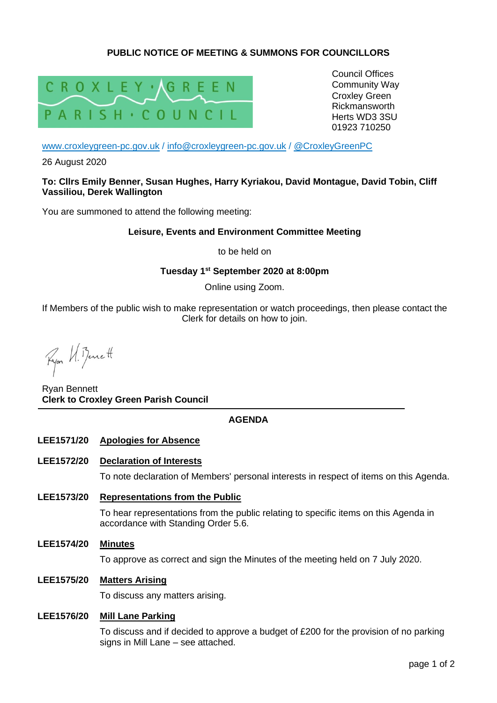# **PUBLIC NOTICE OF MEETING & SUMMONS FOR COUNCILLORS**



Council Offices Community Way Croxley Green Rickmansworth Herts WD3 3SU 01923 710250

[www.croxleygreen-pc.gov.uk](http://www.croxleygreen-pc.gov.uk/) / [info@croxleygreen-pc.gov.uk](mailto:info@croxleygreen-pc.gov.uk) / [@CroxleyGreenPC](https://twitter.com/CroxleyGreenPC)

26 August 2020

#### **To: Cllrs Emily Benner, Susan Hughes, Harry Kyriakou, David Montague, David Tobin, Cliff Vassiliou, Derek Wallington**

You are summoned to attend the following meeting:

### **Leisure, Events and Environment Committee Meeting**

to be held on

# **Tuesday 1 st September 2020 at 8:00pm**

Online using Zoom.

If Members of the public wish to make representation or watch proceedings, then please contact the Clerk for details on how to join.

Fyor U. Benett

Ryan Bennett **Clerk to Croxley Green Parish Council**

# **AGENDA**

### **LEE1571/20 Apologies for Absence**

#### **LEE1572/20 Declaration of Interests**

To note declaration of Members' personal interests in respect of items on this Agenda.

**LEE1573/20 Representations from the Public**

To hear representations from the public relating to specific items on this Agenda in accordance with Standing Order 5.6.

**LEE1574/20 Minutes**

To approve as correct and sign the Minutes of the meeting held on 7 July 2020.

## **LEE1575/20 Matters Arising**

To discuss any matters arising.

### **LEE1576/20 Mill Lane Parking**

To discuss and if decided to approve a budget of £200 for the provision of no parking signs in Mill Lane – see attached.